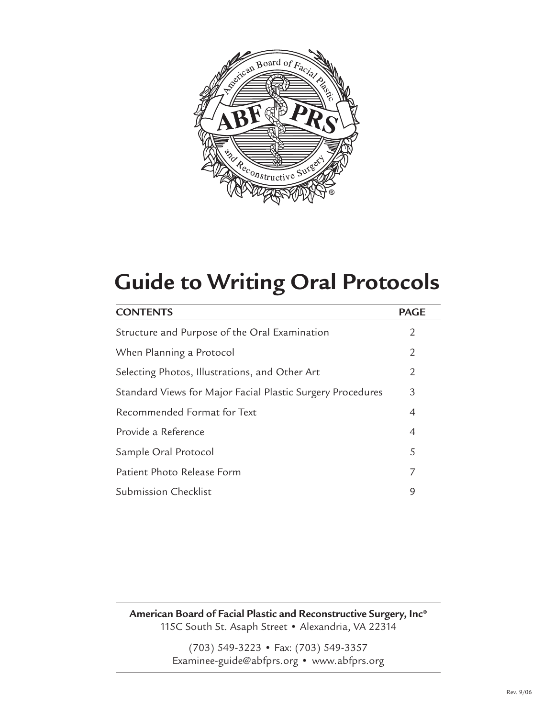

# **Guide to Writing Oral Protocols**

| <b>CONTENTS</b>                                            | <b>PAGE</b>    |
|------------------------------------------------------------|----------------|
| Structure and Purpose of the Oral Examination              | 2              |
| When Planning a Protocol                                   | 2              |
| Selecting Photos, Illustrations, and Other Art             | 2              |
| Standard Views for Major Facial Plastic Surgery Procedures | 3              |
| Recommended Format for Text                                | 4              |
| Provide a Reference                                        | $\overline{4}$ |
| Sample Oral Protocol                                       | 5              |
| Patient Photo Release Form                                 | 7              |
| <b>Submission Checklist</b>                                | 9              |

**American Board of Facial Plastic and Reconstructive Surgery, Inc®** 115C South St. Asaph Street • Alexandria, VA 22314

> (703) 549-3223 • Fax: (703) 549-3357 Examinee-guide@abfprs.org • www.abfprs.org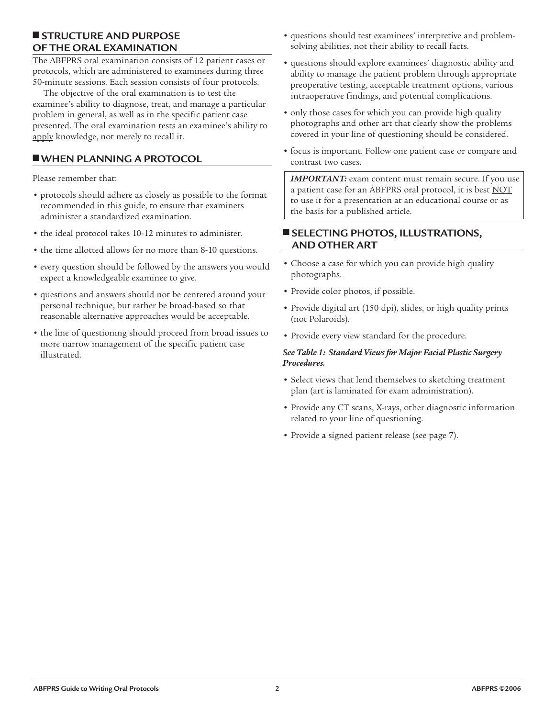## ■ **STRUCTURE AND PURPOSE OF THE ORAL EXAMINATION**

The ABFPRS oral examination consists of 12 patient cases or protocols, which are administered to examinees during three 50-minute sessions. Each session consists of four protocols.

The objective of the oral examination is to test the examinee's ability to diagnose, treat, and manage a particular problem in general, as well as in the specific patient case presented. The oral examination tests an examinee's ability to apply knowledge, not merely to recall it.

# ■**WHEN PLANNING A PROTOCOL**

Please remember that:

- protocols should adhere as closely as possible to the format recommended in this guide, to ensure that examiners administer a standardized examination.
- the ideal protocol takes 10-12 minutes to administer.
- the time allotted allows for no more than 8-10 questions.
- every question should be followed by the answers you would expect a knowledgeable examinee to give.
- questions and answers should not be centered around your personal technique, but rather be broad-based so that reasonable alternative approaches would be acceptable.
- the line of questioning should proceed from broad issues to more narrow management of the specific patient case illustrated.
- questions should test examinees' interpretive and problemsolving abilities, not their ability to recall facts.
- questions should explore examinees' diagnostic ability and ability to manage the patient problem through appropriate preoperative testing, acceptable treatment options, various intraoperative findings, and potential complications.
- only those cases for which you can provide high quality photographs and other art that clearly show the problems covered in your line of questioning should be considered.
- focus is important. Follow one patient case or compare and contrast two cases.

*IMPORTANT:* exam content must remain secure. If you use a patient case for an ABFPRS oral protocol, it is best NOT to use it for a presentation at an educational course or as the basis for a published article.

## ■ **SELECTING PHOTOS, ILLUSTRATIONS, AND OTHER ART**

- Choose a case for which you can provide high quality photographs.
- Provide color photos, if possible.
- Provide digital art (150 dpi), slides, or high quality prints (not Polaroids).
- Provide every view standard for the procedure.

#### *See Table 1: Standard Views for Major Facial Plastic Surgery Procedures.*

- Select views that lend themselves to sketching treatment plan (art is laminated for exam administration).
- Provide any CT scans, X-rays, other diagnostic information related to your line of questioning.
- Provide a signed patient release (see page 7).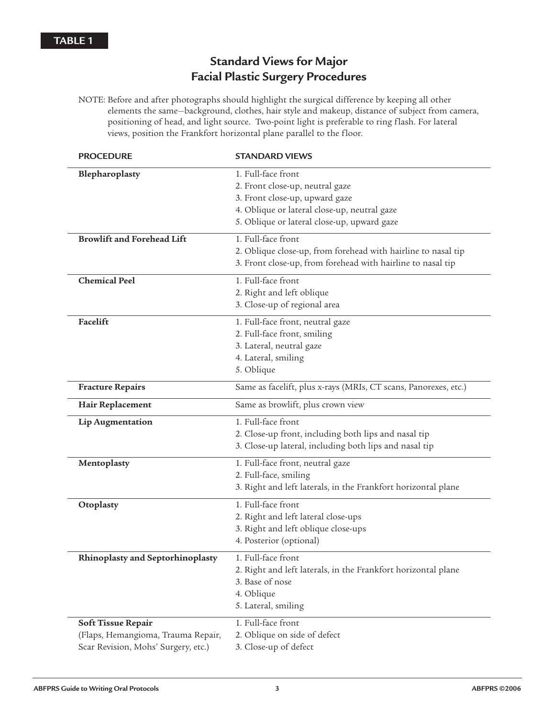# **Standard Views for Major Facial Plastic Surgery Procedures**

NOTE: Before and after photographs should highlight the surgical difference by keeping all other elements the same—background, clothes, hair style and makeup, distance of subject from camera, positioning of head, and light source. Two-point light is preferable to ring flash. For lateral views, position the Frankfort horizontal plane parallel to the floor.

| <b>PROCEDURE</b>                                                                                | <b>STANDARD VIEWS</b>                                                                                                                              |
|-------------------------------------------------------------------------------------------------|----------------------------------------------------------------------------------------------------------------------------------------------------|
| Blepharoplasty                                                                                  | 1. Full-face front<br>2. Front close-up, neutral gaze<br>3. Front close-up, upward gaze                                                            |
|                                                                                                 | 4. Oblique or lateral close-up, neutral gaze<br>5. Oblique or lateral close-up, upward gaze                                                        |
| <b>Browlift and Forehead Lift</b>                                                               | 1. Full-face front<br>2. Oblique close-up, from forehead with hairline to nasal tip<br>3. Front close-up, from forehead with hairline to nasal tip |
| <b>Chemical Peel</b>                                                                            | 1. Full-face front<br>2. Right and left oblique<br>3. Close-up of regional area                                                                    |
| Facelift                                                                                        | 1. Full-face front, neutral gaze<br>2. Full-face front, smiling<br>3. Lateral, neutral gaze<br>4. Lateral, smiling<br>5. Oblique                   |
| <b>Fracture Repairs</b>                                                                         | Same as facelift, plus x-rays (MRIs, CT scans, Panorexes, etc.)                                                                                    |
| Hair Replacement                                                                                | Same as browlift, plus crown view                                                                                                                  |
| Lip Augmentation                                                                                | 1. Full-face front<br>2. Close-up front, including both lips and nasal tip<br>3. Close-up lateral, including both lips and nasal tip               |
| Mentoplasty                                                                                     | 1. Full-face front, neutral gaze<br>2. Full-face, smiling<br>3. Right and left laterals, in the Frankfort horizontal plane                         |
| Otoplasty                                                                                       | 1. Full-face front<br>2. Right and left lateral close-ups<br>3. Right and left oblique close-ups<br>4. Posterior (optional)                        |
| Rhinoplasty and Septorhinoplasty                                                                | 1. Full-face front<br>2. Right and left laterals, in the Frankfort horizontal plane<br>3. Base of nose<br>4. Oblique<br>5. Lateral, smiling        |
| Soft Tissue Repair<br>(Flaps, Hemangioma, Trauma Repair,<br>Scar Revision, Mohs' Surgery, etc.) | 1. Full-face front<br>2. Oblique on side of defect<br>3. Close-up of defect                                                                        |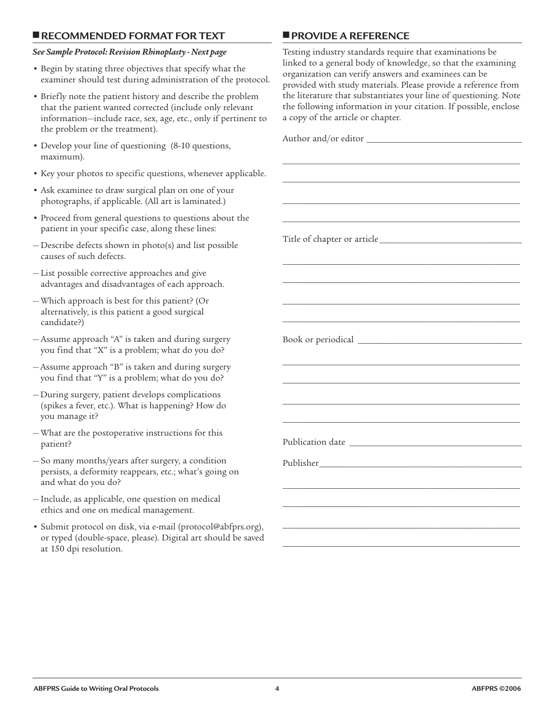#### ■ **RECOMMENDED FORMAT FOR TEXT**

#### *See Sample Protocol: Revision Rhinoplasty - Next page*

- Begin by stating three objectives that specify what the examiner should test during administration of the protocol.
- Briefly note the patient history and describe the problem that the patient wanted corrected (include only relevant information—include race, sex, age, etc., only if pertinent to the problem or the treatment).
- Develop your line of questioning (8-10 questions, maximum).
- Key your photos to specific questions, whenever applicable.
- Ask examinee to draw surgical plan on one of your photographs, if applicable. (All art is laminated.)
- Proceed from general questions to questions about the patient in your specific case, along these lines:
- Describe defects shown in photo(s) and list possible causes of such defects.
- List possible corrective approaches and give advantages and disadvantages of each approach.
- Which approach is best for this patient? (Or alternatively, is this patient a good surgical candidate?)
- Assume approach "A" is taken and during surgery you find that "X" is a problem; what do you do?
- Assume approach "B" is taken and during surgery you find that "Y" is a problem; what do you do?
- During surgery, patient develops complications (spikes a fever, etc.). What is happening? How do you manage it?
- What are the postoperative instructions for this patient?
- So many months/years after surgery, a condition persists, a deformity reappears, etc.; what's going on and what do you do?
- Include, as applicable, one question on medical ethics and one on medical management.
- Submit protocol on disk, via e-mail (protocol@abfprs.org), or typed (double-space, please). Digital art should be saved at 150 dpi resolution.

#### ■ **PROVIDE A REFERENCE**

Testing industry standards require that examinations be linked to a general body of knowledge, so that the examining organization can verify answers and examinees can be provided with study materials. Please provide a reference from the literature that substantiates your line of questioning. Note the following information in your citation. If possible, enclose a copy of the article or chapter.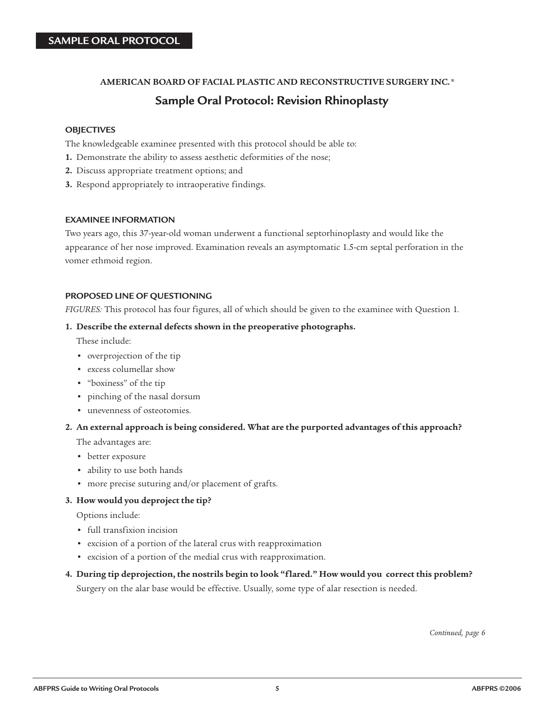#### **AMERICAN BOARD OF FACIAL PLASTIC AND RECONSTRUCTIVE SURGERY INC. ®**

# **Sample Oral Protocol: Revision Rhinoplasty**

#### **OBJECTIVES**

The knowledgeable examinee presented with this protocol should be able to:

- **1.** Demonstrate the ability to assess aesthetic deformities of the nose;
- **2.** Discuss appropriate treatment options; and
- **3.** Respond appropriately to intraoperative findings.

#### **EXAMINEE INFORMATION**

Two years ago, this 37-year-old woman underwent a functional septorhinoplasty and would like the appearance of her nose improved. Examination reveals an asymptomatic 1.5-cm septal perforation in the vomer ethmoid region.

#### **PROPOSED LINE OF QUESTIONING**

*FIGURES:* This protocol has four figures, all of which should be given to the examinee with Question 1*.*

#### **1. Describe the external defects shown in the preoperative photographs.**

These include:

- overprojection of the tip
- excess columellar show
- "boxiness" of the tip
- pinching of the nasal dorsum
- unevenness of osteotomies.

#### **2. An external approach is being considered. What are the purported advantages of this approach?**

The advantages are:

- better exposure
- ability to use both hands
- more precise suturing and/or placement of grafts.

#### **3. How would you deproject the tip?**

Options include:

- full transfixion incision
- excision of a portion of the lateral crus with reapproximation
- excision of a portion of the medial crus with reapproximation.

# **4. During tip deprojection, the nostrils begin to look "flared." How would you correct this problem?** Surgery on the alar base would be effective. Usually, some type of alar resection is needed.

*Continued, page 6*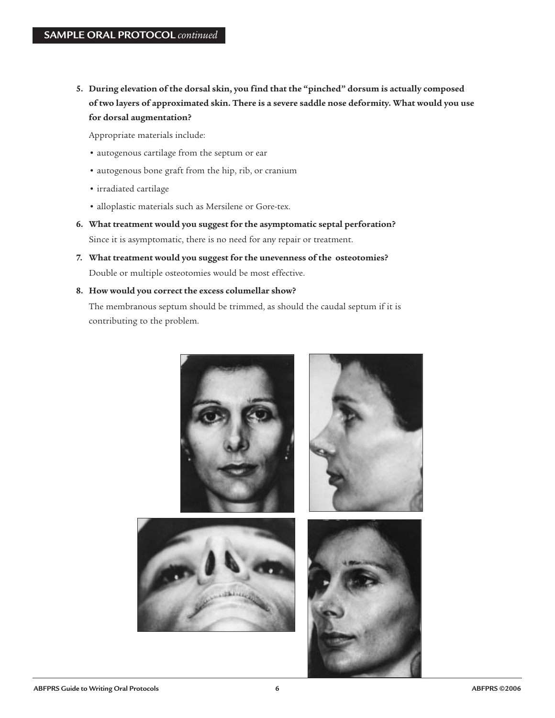**5. During elevation of the dorsal skin, you find that the "pinched" dorsum is actually composed of two layers of approximated skin. There is a severe saddle nose deformity. What would you use for dorsal augmentation?** 

Appropriate materials include:

- autogenous cartilage from the septum or ear
- autogenous bone graft from the hip, rib, or cranium
- irradiated cartilage
- alloplastic materials such as Mersilene or Gore-tex.
- **6. What treatment would you suggest for the asymptomatic septal perforation?** Since it is asymptomatic, there is no need for any repair or treatment.
- **7. What treatment would you suggest for the unevenness of the osteotomies?** Double or multiple osteotomies would be most effective.
- **8. How would you correct the excess columellar show?**

The membranous septum should be trimmed, as should the caudal septum if it is contributing to the problem.

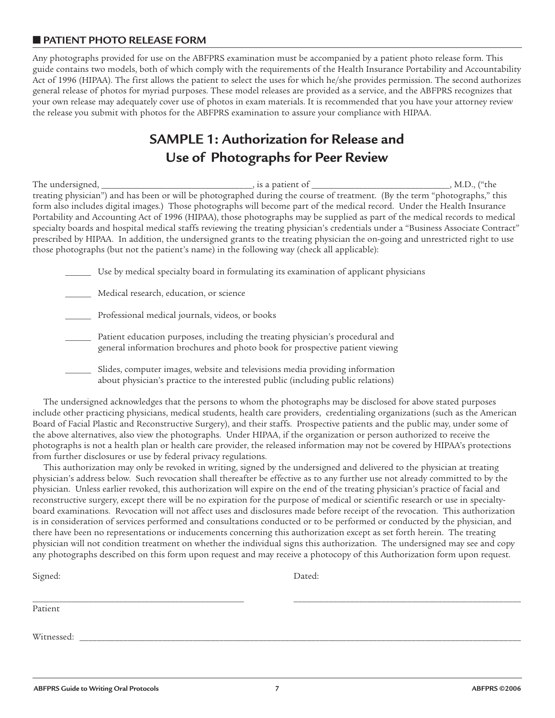# ■ **PATIENT PHOTO RELEASE FORM**

Any photographs provided for use on the ABFPRS examination must be accompanied by a patient photo release form. This guide contains two models, both of which comply with the requirements of the Health Insurance Portability and Accountability Act of 1996 (HIPAA). The first allows the patient to select the uses for which he/she provides permission. The second authorizes general release of photos for myriad purposes. These model releases are provided as a service, and the ABFPRS recognizes that your own release may adequately cover use of photos in exam materials. It is recommended that you have your attorney review the release you submit with photos for the ABFPRS examination to assure your compliance with HIPAA.

# **SAMPLE 1: Authorization for Release and Use of Photographs for Peer Review**

The undersigned, \_\_\_\_\_\_\_\_\_\_\_\_\_\_\_\_\_\_\_\_\_\_\_\_\_\_\_\_\_\_\_\_\_, is a patient of \_\_\_\_\_\_\_\_\_\_\_\_\_\_\_\_\_\_\_\_\_\_\_\_\_\_\_\_\_\_\_\_\_, M.D., ("the treating physician") and has been or will be photographed during the course of treatment. (By the term "photographs," this form also includes digital images.) Those photographs will become part of the medical record. Under the Health Insurance Portability and Accounting Act of 1996 (HIPAA), those photographs may be supplied as part of the medical records to medical specialty boards and hospital medical staffs reviewing the treating physician's credentials under a "Business Associate Contract" prescribed by HIPAA. In addition, the undersigned grants to the treating physician the on-going and unrestricted right to use those photographs (but not the patient's name) in the following way (check all applicable):

Use by medical specialty board in formulating its examination of applicant physicians

| Medical research, education, or science |  |
|-----------------------------------------|--|
|-----------------------------------------|--|

Professional medical journals, videos, or books

Patient education purposes, including the treating physician's procedural and general information brochures and photo book for prospective patient viewing

Slides, computer images, website and televisions media providing information about physician's practice to the interested public (including public relations)

The undersigned acknowledges that the persons to whom the photographs may be disclosed for above stated purposes include other practicing physicians, medical students, health care providers, credentialing organizations (such as the American Board of Facial Plastic and Reconstructive Surgery), and their staffs. Prospective patients and the public may, under some of the above alternatives, also view the photographs. Under HIPAA, if the organization or person authorized to receive the photographs is not a health plan or health care provider, the released information may not be covered by HIPAA's protections from further disclosures or use by federal privacy regulations.

This authorization may only be revoked in writing, signed by the undersigned and delivered to the physician at treating physician's address below. Such revocation shall thereafter be effective as to any further use not already committed to by the physician. Unless earlier revoked, this authorization will expire on the end of the treating physician's practice of facial and reconstructive surgery, except there will be no expiration for the purpose of medical or scientific research or use in specialtyboard examinations. Revocation will not affect uses and disclosures made before receipt of the revocation. This authorization is in consideration of services performed and consultations conducted or to be performed or conducted by the physician, and there have been no representations or inducements concerning this authorization except as set forth herein. The treating physician will not condition treatment on whether the individual signs this authorization. The undersigned may see and copy any photographs described on this form upon request and may receive a photocopy of this Authorization form upon request.

| Signed:    | Dated: |
|------------|--------|
|            |        |
| Patient    |        |
|            |        |
| Witnessed: |        |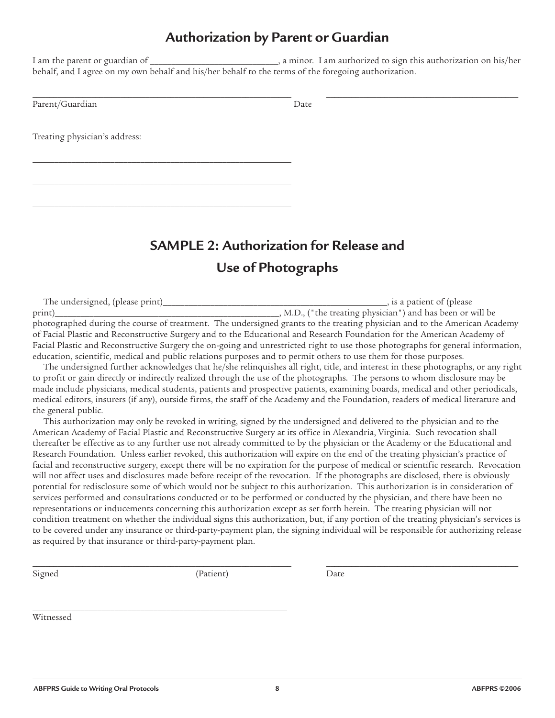# **Authorization by Parent or Guardian**

I am the parent or guardian of \_\_\_\_\_\_\_\_\_\_\_\_\_\_\_\_\_\_\_\_\_\_\_\_\_\_\_\_\_\_, a minor. I am authorized to sign this authorization on his/her behalf, and I agree on my own behalf and his/her behalf to the terms of the foregoing authorization.

 $\_$  , and the set of the set of the set of the set of the set of the set of the set of the set of the set of the set of the set of the set of the set of the set of the set of the set of the set of the set of the set of th

Parent/Guardian Date

Treating physician's address:

\_\_\_\_\_\_\_\_\_\_\_\_\_\_\_\_\_\_\_\_\_\_\_\_\_\_\_\_\_\_\_\_\_\_\_\_\_\_\_\_\_\_\_\_\_\_\_\_\_\_\_\_\_\_\_\_\_\_\_\_

\_\_\_\_\_\_\_\_\_\_\_\_\_\_\_\_\_\_\_\_\_\_\_\_\_\_\_\_\_\_\_\_\_\_\_\_\_\_\_\_\_\_\_\_\_\_\_\_\_\_\_\_\_\_\_\_\_\_\_\_

\_\_\_\_\_\_\_\_\_\_\_\_\_\_\_\_\_\_\_\_\_\_\_\_\_\_\_\_\_\_\_\_\_\_\_\_\_\_\_\_\_\_\_\_\_\_\_\_\_\_\_\_\_\_\_\_\_\_\_\_

**SAMPLE 2: Authorization for Release and Use of Photographs**

The undersigned, (please print)\_\_\_\_\_\_\_\_\_\_\_\_\_\_\_\_\_\_\_\_\_\_\_\_\_\_\_\_\_\_\_\_\_\_\_\_\_\_\_\_\_\_\_\_\_\_\_\_\_\_\_\_, is a patient of (please print)\_\_\_\_\_\_\_\_\_\_\_\_\_\_\_\_\_\_\_\_\_\_\_\_\_\_\_\_\_\_\_\_\_\_\_\_\_\_\_\_\_\_\_\_\_\_\_\_\_\_\_\_, M.D., ("the treating physician") and has been or will be photographed during the course of treatment. The undersigned grants to the treating physician and to the American Academy of Facial Plastic and Reconstructive Surgery and to the Educational and Research Foundation for the American Academy of Facial Plastic and Reconstructive Surgery the on-going and unrestricted right to use those photographs for general information, education, scientific, medical and public relations purposes and to permit others to use them for those purposes.

The undersigned further acknowledges that he/she relinquishes all right, title, and interest in these photographs, or any right to profit or gain directly or indirectly realized through the use of the photographs. The persons to whom disclosure may be made include physicians, medical students, patients and prospective patients, examining boards, medical and other periodicals, medical editors, insurers (if any), outside firms, the staff of the Academy and the Foundation, readers of medical literature and the general public.

This authorization may only be revoked in writing, signed by the undersigned and delivered to the physician and to the American Academy of Facial Plastic and Reconstructive Surgery at its office in Alexandria, Virginia. Such revocation shall thereafter be effective as to any further use not already committed to by the physician or the Academy or the Educational and Research Foundation. Unless earlier revoked, this authorization will expire on the end of the treating physician's practice of facial and reconstructive surgery, except there will be no expiration for the purpose of medical or scientific research. Revocation will not affect uses and disclosures made before receipt of the revocation. If the photographs are disclosed, there is obviously potential for redisclosure some of which would not be subject to this authorization. This authorization is in consideration of services performed and consultations conducted or to be performed or conducted by the physician, and there have been no representations or inducements concerning this authorization except as set forth herein. The treating physician will not condition treatment on whether the individual signs this authorization, but, if any portion of the treating physician's services is to be covered under any insurance or third-party-payment plan, the signing individual will be responsible for authorizing release as required by that insurance or third-party-payment plan.

 $\_$  , and the set of the set of the set of the set of the set of the set of the set of the set of the set of the set of the set of the set of the set of the set of the set of the set of the set of the set of the set of th

Signed (Patient) Date

\_\_\_\_\_\_\_\_\_\_\_\_\_\_\_\_\_\_\_\_\_\_\_\_\_\_\_\_\_\_\_\_\_\_\_\_\_\_\_\_\_\_\_\_\_\_\_\_\_\_\_\_\_\_\_\_\_\_\_

Witnessed